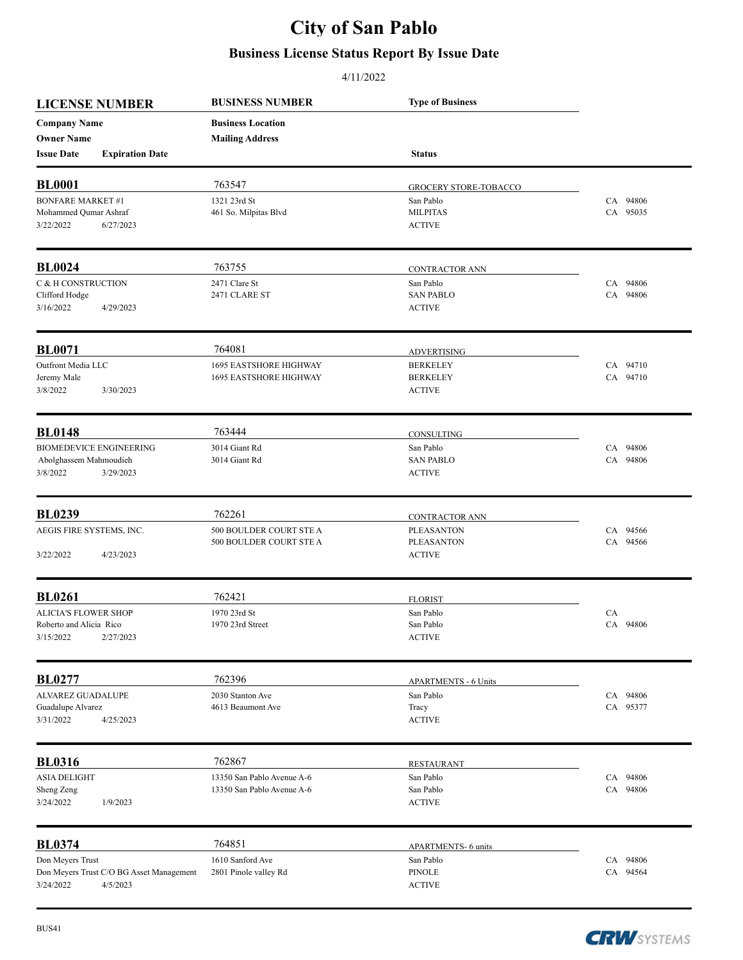## **City of San Pablo**

## **Business License Status Report By Issue Date**

## 4/11/2022

|                             | <b>LICENSE NUMBER</b>                    | <b>BUSINESS NUMBER</b>        | <b>Type of Business</b>      |          |
|-----------------------------|------------------------------------------|-------------------------------|------------------------------|----------|
| <b>Company Name</b>         |                                          | <b>Business Location</b>      |                              |          |
| <b>Owner Name</b>           |                                          | <b>Mailing Address</b>        |                              |          |
| <b>Issue Date</b>           | <b>Expiration Date</b>                   |                               | <b>Status</b>                |          |
| <b>BL0001</b>               |                                          | 763547                        | <b>GROCERY STORE-TOBACCO</b> |          |
| <b>BONFARE MARKET #1</b>    |                                          | 1321 23rd St                  | San Pablo                    | CA 94806 |
| Mohammed Qumar Ashraf       |                                          | 461 So. Milpitas Blvd         | <b>MILPITAS</b>              | CA 95035 |
| 3/22/2022                   | 6/27/2023                                |                               | <b>ACTIVE</b>                |          |
| <b>BL0024</b>               |                                          | 763755                        | CONTRACTOR ANN               |          |
| C & H CONSTRUCTION          |                                          | 2471 Clare St                 | San Pablo                    | CA 94806 |
| Clifford Hodge              |                                          | 2471 CLARE ST                 | <b>SAN PABLO</b>             | CA 94806 |
| 3/16/2022                   | 4/29/2023                                |                               | <b>ACTIVE</b>                |          |
| <b>BL0071</b>               |                                          | 764081                        | <b>ADVERTISING</b>           |          |
| Outfront Media LLC          |                                          | <b>1695 EASTSHORE HIGHWAY</b> | <b>BERKELEY</b>              | CA 94710 |
| Jeremy Male                 |                                          | <b>1695 EASTSHORE HIGHWAY</b> | <b>BERKELEY</b>              | CA 94710 |
| 3/8/2022                    | 3/30/2023                                |                               | <b>ACTIVE</b>                |          |
| <b>BL0148</b>               |                                          | 763444                        | CONSULTING                   |          |
|                             | <b>BIOMEDEVICE ENGINEERING</b>           | 3014 Giant Rd                 | San Pablo                    | CA 94806 |
| Abolghassem Mahmoudieh      |                                          | 3014 Giant Rd                 | <b>SAN PABLO</b>             | CA 94806 |
| 3/8/2022                    | 3/29/2023                                |                               | <b>ACTIVE</b>                |          |
| <b>BL0239</b>               |                                          | 762261                        | CONTRACTOR ANN               |          |
| AEGIS FIRE SYSTEMS, INC.    |                                          | 500 BOULDER COURT STE A       | <b>PLEASANTON</b>            | CA 94566 |
|                             |                                          | 500 BOULDER COURT STE A       | <b>PLEASANTON</b>            | CA 94566 |
| 3/22/2022                   | 4/23/2023                                |                               | <b>ACTIVE</b>                |          |
| <b>BL0261</b>               |                                          | 762421                        | <b>FLORIST</b>               |          |
| <b>ALICIA'S FLOWER SHOP</b> |                                          | 1970 23rd St                  | San Pablo                    | CA       |
| Roberto and Alicia Rico     |                                          | 1970 23rd Street              | San Pablo                    | CA 94806 |
| 3/15/2022                   | 2/27/2023                                |                               | <b>ACTIVE</b>                |          |
| <b>BL0277</b>               |                                          | 762396                        | <b>APARTMENTS - 6 Units</b>  |          |
| ALVAREZ GUADALUPE           |                                          | 2030 Stanton Ave              | San Pablo                    | CA 94806 |
| Guadalupe Alvarez           |                                          | 4613 Beaumont Ave             | Tracy                        | CA 95377 |
| 3/31/2022                   | 4/25/2023                                |                               | <b>ACTIVE</b>                |          |
| <b>BL0316</b>               |                                          | 762867                        | <b>RESTAURANT</b>            |          |
| <b>ASIA DELIGHT</b>         |                                          | 13350 San Pablo Avenue A-6    | San Pablo                    | CA 94806 |
| Sheng Zeng                  |                                          | 13350 San Pablo Avenue A-6    | San Pablo                    | CA 94806 |
| 3/24/2022                   | 1/9/2023                                 |                               | <b>ACTIVE</b>                |          |
| <b>BL0374</b>               |                                          | 764851                        | <b>APARTMENTS-6 units</b>    |          |
| Don Meyers Trust            |                                          | 1610 Sanford Ave              | San Pablo                    | CA 94806 |
|                             | Don Meyers Trust C/O BG Asset Management | 2801 Pinole valley Rd         | <b>PINOLE</b>                | CA 94564 |
| 3/24/2022                   | 4/5/2023                                 |                               | <b>ACTIVE</b>                |          |

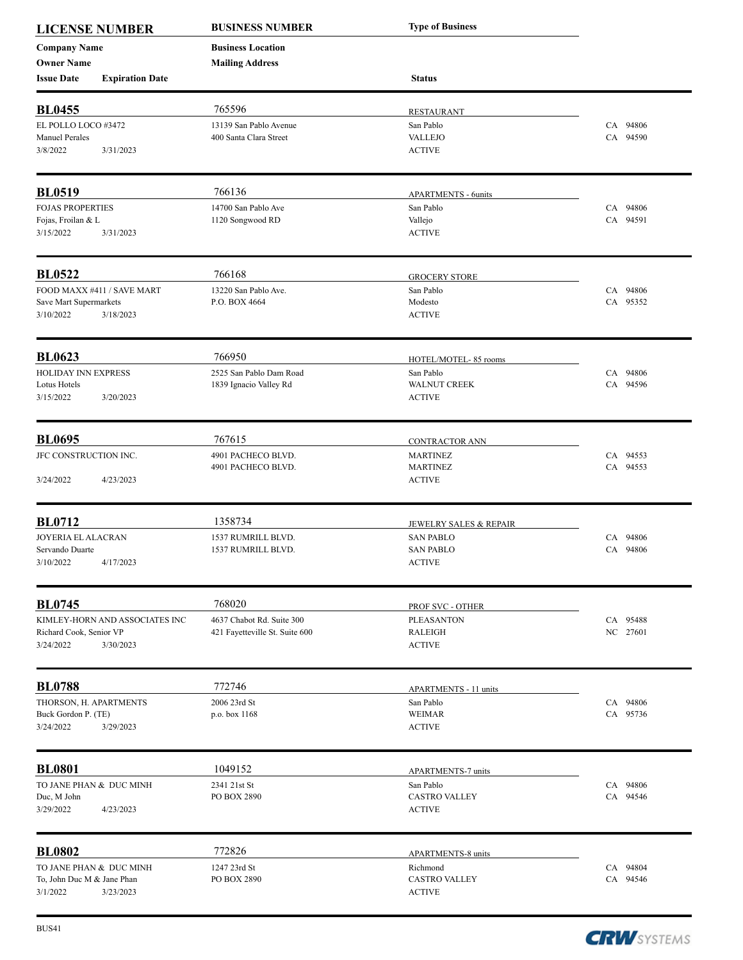| <b>LICENSE NUMBER</b>      |                                | <b>BUSINESS NUMBER</b>         | <b>Type of Business</b>           |          |
|----------------------------|--------------------------------|--------------------------------|-----------------------------------|----------|
| <b>Company Name</b>        |                                | <b>Business Location</b>       |                                   |          |
| <b>Owner Name</b>          |                                | <b>Mailing Address</b>         |                                   |          |
| <b>Issue Date</b>          | <b>Expiration Date</b>         |                                | <b>Status</b>                     |          |
| <b>BL0455</b>              |                                | 765596                         |                                   |          |
| EL POLLO LOCO #3472        |                                | 13139 San Pablo Avenue         | <b>RESTAURANT</b><br>San Pablo    | CA 94806 |
| <b>Manuel Perales</b>      |                                | 400 Santa Clara Street         | <b>VALLEJO</b>                    | CA 94590 |
| 3/8/2022                   | 3/31/2023                      |                                | <b>ACTIVE</b>                     |          |
| <b>BL0519</b>              |                                | 766136                         | <b>APARTMENTS - 6units</b>        |          |
| <b>FOJAS PROPERTIES</b>    |                                | 14700 San Pablo Ave            | San Pablo                         | CA 94806 |
| Fojas, Froilan & L         |                                | 1120 Songwood RD               | Vallejo                           | CA 94591 |
| 3/15/2022                  | 3/31/2023                      |                                | <b>ACTIVE</b>                     |          |
| <b>BL0522</b>              |                                | 766168                         | <b>GROCERY STORE</b>              |          |
|                            | FOOD MAXX #411 / SAVE MART     | 13220 San Pablo Ave.           | San Pablo                         | CA 94806 |
| Save Mart Supermarkets     |                                | P.O. BOX 4664                  | Modesto                           | CA 95352 |
| 3/10/2022                  | 3/18/2023                      |                                | <b>ACTIVE</b>                     |          |
| <b>BL0623</b>              |                                | 766950                         | HOTEL/MOTEL-85 rooms              |          |
| HOLIDAY INN EXPRESS        |                                | 2525 San Pablo Dam Road        | San Pablo                         | CA 94806 |
| Lotus Hotels               |                                | 1839 Ignacio Valley Rd         | <b>WALNUT CREEK</b>               | CA 94596 |
| 3/15/2022                  | 3/20/2023                      |                                | <b>ACTIVE</b>                     |          |
| <b>BL0695</b>              |                                | 767615                         | <b>CONTRACTOR ANN</b>             |          |
| JFC CONSTRUCTION INC.      |                                | 4901 PACHECO BLVD.             | <b>MARTINEZ</b>                   | CA 94553 |
|                            |                                | 4901 PACHECO BLVD.             | <b>MARTINEZ</b>                   | CA 94553 |
| 3/24/2022                  | 4/23/2023                      |                                | <b>ACTIVE</b>                     |          |
| <b>BL0712</b>              |                                | 1358734                        | <u>JEWELRY SALES &amp; REPAIR</u> |          |
| JOYERIA EL ALACRAN         |                                | 1537 RUMRILL BLVD.             | <b>SAN PABLO</b>                  | CA 94806 |
| Servando Duarte            |                                | 1537 RUMRILL BLVD.             | <b>SAN PABLO</b>                  | CA 94806 |
| 3/10/2022                  | 4/17/2023                      |                                | $\operatorname{ACTIVE}$           |          |
| <b>BL0745</b>              |                                | 768020                         | PROF SVC - OTHER                  |          |
|                            | KIMLEY-HORN AND ASSOCIATES INC | 4637 Chabot Rd. Suite 300      | <b>PLEASANTON</b>                 | CA 95488 |
| Richard Cook, Senior VP    |                                | 421 Fayetteville St. Suite 600 | <b>RALEIGH</b>                    | NC 27601 |
| 3/24/2022                  | 3/30/2023                      |                                | <b>ACTIVE</b>                     |          |
| <b>BL0788</b>              |                                | 772746                         | <b>APARTMENTS - 11 units</b>      |          |
| THORSON, H. APARTMENTS     |                                | 2006 23rd St                   | San Pablo                         | CA 94806 |
| Buck Gordon P. (TE)        |                                | p.o. box 1168                  | <b>WEIMAR</b>                     | CA 95736 |
| 3/24/2022                  | 3/29/2023                      |                                | <b>ACTIVE</b>                     |          |
| <b>BL0801</b>              |                                | 1049152                        | <b>APARTMENTS-7 units</b>         |          |
| TO JANE PHAN & DUC MINH    |                                | 2341 21st St                   | San Pablo                         | CA 94806 |
| Duc, M John                |                                | PO BOX 2890                    | <b>CASTRO VALLEY</b>              | CA 94546 |
| 3/29/2022                  | 4/23/2023                      |                                | <b>ACTIVE</b>                     |          |
| <b>BL0802</b>              |                                | 772826                         | <b>APARTMENTS-8 units</b>         |          |
| TO JANE PHAN & DUC MINH    |                                | 1247 23rd St                   | Richmond                          | CA 94804 |
| To, John Duc M & Jane Phan |                                | PO BOX 2890                    | <b>CASTRO VALLEY</b>              | CA 94546 |
| 3/1/2022                   | 3/23/2023                      |                                | <b>ACTIVE</b>                     |          |

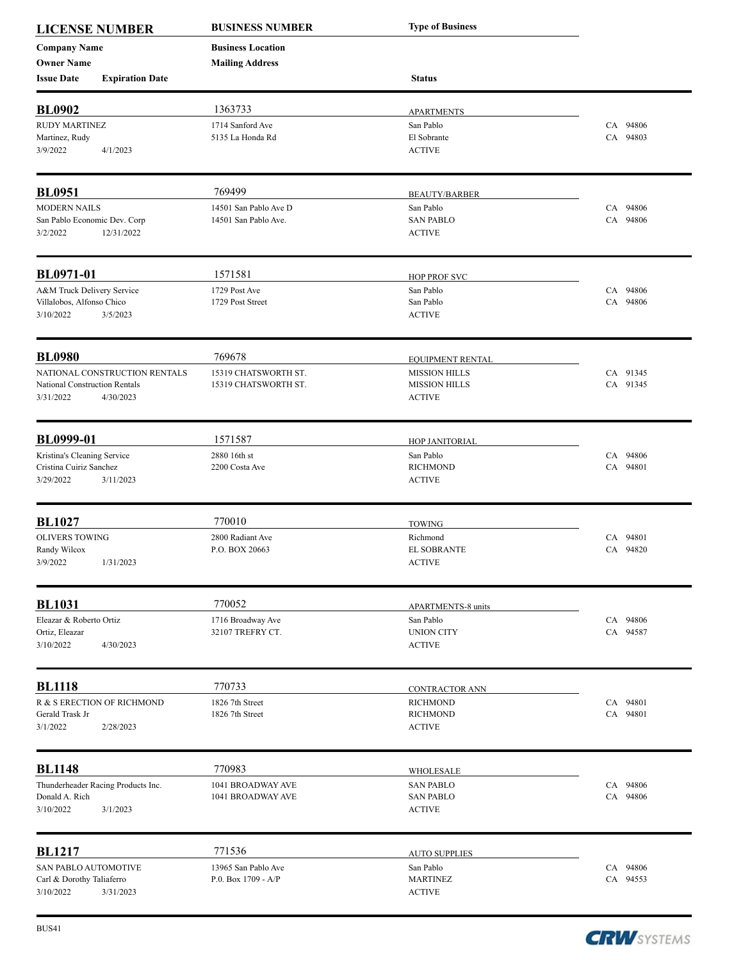| <b>LICENSE NUMBER</b>         |                                    | <b>BUSINESS NUMBER</b>   | <b>Type of Business</b>                  |          |
|-------------------------------|------------------------------------|--------------------------|------------------------------------------|----------|
| <b>Company Name</b>           |                                    | <b>Business Location</b> |                                          |          |
| <b>Owner Name</b>             |                                    | <b>Mailing Address</b>   |                                          |          |
| <b>Issue Date</b>             | <b>Expiration Date</b>             |                          | <b>Status</b>                            |          |
| <b>BL0902</b>                 |                                    | 1363733                  | <b>APARTMENTS</b>                        |          |
| <b>RUDY MARTINEZ</b>          |                                    | 1714 Sanford Ave         | San Pablo                                | CA 94806 |
| Martinez, Rudy                |                                    | 5135 La Honda Rd         | El Sobrante                              | CA 94803 |
| 3/9/2022                      | 4/1/2023                           |                          | <b>ACTIVE</b>                            |          |
| <b>BL0951</b>                 |                                    | 769499                   | <b>BEAUTY/BARBER</b>                     |          |
| <b>MODERN NAILS</b>           |                                    | 14501 San Pablo Ave D    | San Pablo                                | CA 94806 |
| San Pablo Economic Dev. Corp  |                                    | 14501 San Pablo Ave.     | <b>SAN PABLO</b>                         | CA 94806 |
| 3/2/2022                      | 12/31/2022                         |                          | <b>ACTIVE</b>                            |          |
| <b>BL0971-01</b>              |                                    | 1571581                  | <b>HOP PROF SVC</b>                      |          |
| A&M Truck Delivery Service    |                                    | 1729 Post Ave            | San Pablo                                | CA 94806 |
| Villalobos, Alfonso Chico     |                                    | 1729 Post Street         | San Pablo                                | CA 94806 |
| 3/10/2022                     | 3/5/2023                           |                          | <b>ACTIVE</b>                            |          |
| <b>BL0980</b>                 |                                    | 769678                   |                                          |          |
|                               | NATIONAL CONSTRUCTION RENTALS      | 15319 CHATSWORTH ST.     | EQUIPMENT RENTAL<br><b>MISSION HILLS</b> | CA 91345 |
| National Construction Rentals |                                    | 15319 CHATSWORTH ST.     | <b>MISSION HILLS</b>                     | CA 91345 |
| 3/31/2022                     | 4/30/2023                          |                          | <b>ACTIVE</b>                            |          |
| <b>BL0999-01</b>              |                                    | 1571587                  | HOP JANITORIAL                           |          |
| Kristina's Cleaning Service   |                                    | 2880 16th st             | San Pablo                                | CA 94806 |
| Cristina Cuiriz Sanchez       |                                    | 2200 Costa Ave           | <b>RICHMOND</b>                          | CA 94801 |
| 3/29/2022                     | 3/11/2023                          |                          | <b>ACTIVE</b>                            |          |
| <b>BL1027</b>                 |                                    | 770010                   | <b>TOWING</b>                            |          |
| <b>OLIVERS TOWING</b>         |                                    | 2800 Radiant Ave         | Richmond                                 | CA 94801 |
| Randy Wilcox                  |                                    | P.O. BOX 20663           | <b>EL SOBRANTE</b>                       | CA 94820 |
| 3/9/2022                      | 1/31/2023                          |                          | <b>ACTIVE</b>                            |          |
| <b>BL1031</b>                 |                                    | 770052                   | <b>APARTMENTS-8 units</b>                |          |
| Eleazar & Roberto Ortiz       |                                    | 1716 Broadway Ave        | San Pablo                                | CA 94806 |
| Ortiz, Eleazar                |                                    | 32107 TREFRY CT.         | <b>UNION CITY</b>                        | CA 94587 |
| 3/10/2022                     | 4/30/2023                          |                          | <b>ACTIVE</b>                            |          |
| <b>BL1118</b>                 |                                    | 770733                   | CONTRACTOR ANN                           |          |
|                               | R & S ERECTION OF RICHMOND         | 1826 7th Street          | <b>RICHMOND</b>                          | CA 94801 |
| Gerald Trask Jr               |                                    | 1826 7th Street          | <b>RICHMOND</b>                          | CA 94801 |
| 3/1/2022                      | 2/28/2023                          |                          | <b>ACTIVE</b>                            |          |
| <b>BL1148</b>                 |                                    | 770983                   | WHOLESALE                                |          |
|                               | Thunderheader Racing Products Inc. | 1041 BROADWAY AVE        | <b>SAN PABLO</b>                         | CA 94806 |
| Donald A. Rich                |                                    | 1041 BROADWAY AVE        | <b>SAN PABLO</b>                         | CA 94806 |
| 3/10/2022                     | 3/1/2023                           |                          | <b>ACTIVE</b>                            |          |
| <b>BL1217</b>                 |                                    | 771536                   | <b>AUTO SUPPLIES</b>                     |          |
| SAN PABLO AUTOMOTIVE          |                                    | 13965 San Pablo Ave      | San Pablo                                | CA 94806 |
| Carl & Dorothy Taliaferro     |                                    | P.O. Box 1709 - A/P      | <b>MARTINEZ</b>                          | CA 94553 |
| 3/10/2022                     | 3/31/2023                          |                          | <b>ACTIVE</b>                            |          |

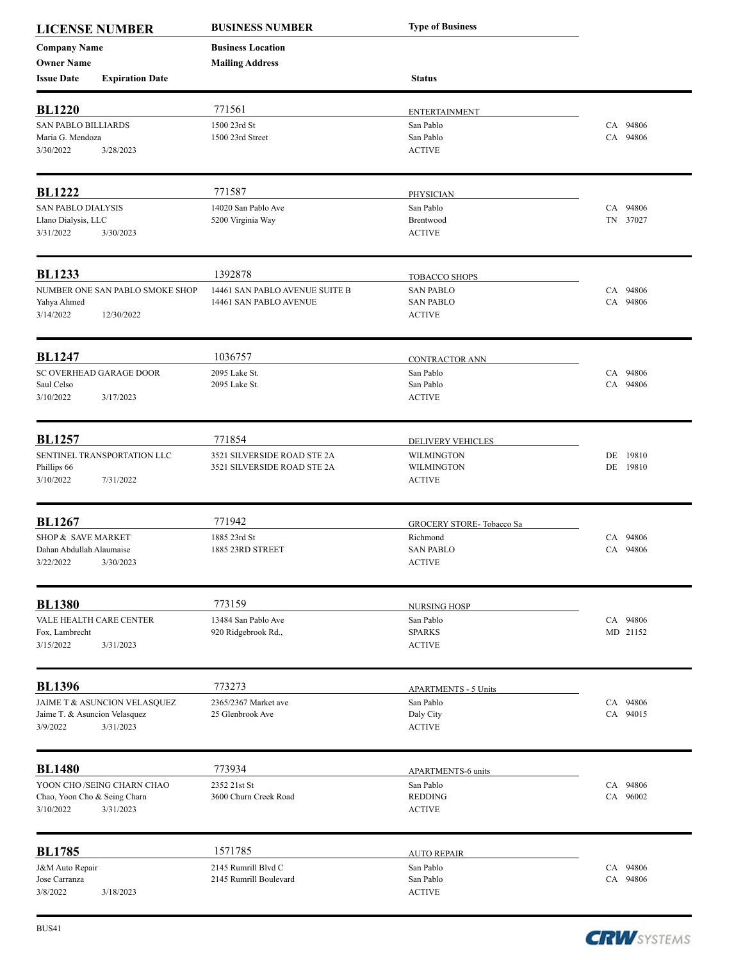| <b>LICENSE NUMBER</b>                     |                                 | <b>BUSINESS NUMBER</b>         | <b>Type of Business</b>         |          |       |
|-------------------------------------------|---------------------------------|--------------------------------|---------------------------------|----------|-------|
| <b>Company Name</b>                       |                                 | <b>Business Location</b>       |                                 |          |       |
| <b>Owner Name</b>                         |                                 | <b>Mailing Address</b>         |                                 |          |       |
| <b>Issue Date</b>                         | <b>Expiration Date</b>          |                                | <b>Status</b>                   |          |       |
| <b>BL1220</b>                             |                                 | 771561                         | <b>ENTERTAINMENT</b>            |          |       |
| <b>SAN PABLO BILLIARDS</b>                |                                 | 1500 23rd St                   | San Pablo                       | CA 94806 |       |
| Maria G. Mendoza                          |                                 | 1500 23rd Street               | San Pablo                       | CA 94806 |       |
| 3/30/2022                                 | 3/28/2023                       |                                | <b>ACTIVE</b>                   |          |       |
| <b>BL1222</b>                             |                                 | 771587                         | PHYSICIAN                       |          |       |
| <b>SAN PABLO DIALYSIS</b>                 |                                 | 14020 San Pablo Ave            | San Pablo                       | CA 94806 |       |
| Llano Dialysis, LLC                       |                                 | 5200 Virginia Way              | Brentwood                       | TN 37027 |       |
| 3/31/2022                                 | 3/30/2023                       |                                | <b>ACTIVE</b>                   |          |       |
| <b>BL1233</b>                             |                                 | 1392878                        | <b>TOBACCO SHOPS</b>            |          |       |
|                                           | NUMBER ONE SAN PABLO SMOKE SHOP | 14461 SAN PABLO AVENUE SUITE B | <b>SAN PABLO</b>                | CA 94806 |       |
| Yahya Ahmed                               |                                 | 14461 SAN PABLO AVENUE         | <b>SAN PABLO</b>                | CA 94806 |       |
| 3/14/2022                                 | 12/30/2022                      |                                | <b>ACTIVE</b>                   |          |       |
| <b>BL1247</b>                             |                                 | 1036757                        |                                 |          |       |
|                                           | SC OVERHEAD GARAGE DOOR         | 2095 Lake St.                  | CONTRACTOR ANN<br>San Pablo     | CA 94806 |       |
| Saul Celso                                |                                 | 2095 Lake St.                  | San Pablo                       | CA 94806 |       |
| 3/10/2022                                 | 3/17/2023                       |                                | <b>ACTIVE</b>                   |          |       |
| <b>BL1257</b>                             |                                 | 771854                         | DELIVERY VEHICLES               |          |       |
|                                           | SENTINEL TRANSPORTATION LLC     | 3521 SILVERSIDE ROAD STE 2A    | <b>WILMINGTON</b>               | DE       | 19810 |
| Phillips 66                               |                                 | 3521 SILVERSIDE ROAD STE 2A    | WILMINGTON                      | DE 19810 |       |
| 3/10/2022                                 | 7/31/2022                       |                                | <b>ACTIVE</b>                   |          |       |
| <b>BL1267</b>                             |                                 | 771942                         | GROCERY STORE- Tobacco Sa       |          |       |
| SHOP & SAVE MARKET                        |                                 | 1885 23rd St                   | Richmond                        | CA 94806 |       |
| Dahan Abdullah Alaumaise                  |                                 | 1885 23RD STREET               | <b>SAN PABLO</b>                | CA 94806 |       |
| 3/22/2022                                 | 3/30/2023                       |                                | <b>ACTIVE</b>                   |          |       |
| <b>BL1380</b>                             |                                 | 773159                         | <b>NURSING HOSP</b>             |          |       |
| VALE HEALTH CARE CENTER                   |                                 | 13484 San Pablo Ave            | San Pablo                       | CA 94806 |       |
| Fox, Lambrecht                            |                                 | 920 Ridgebrook Rd.,            | <b>SPARKS</b>                   | MD 21152 |       |
| 3/15/2022                                 | 3/31/2023                       |                                | <b>ACTIVE</b>                   |          |       |
| <b>BL1396</b>                             |                                 | 773273                         | <b>APARTMENTS - 5 Units</b>     |          |       |
|                                           | JAIME T & ASUNCION VELASQUEZ    | 2365/2367 Market ave           | San Pablo                       | CA 94806 |       |
| Jaime T. & Asuncion Velasquez             |                                 | 25 Glenbrook Ave               | Daly City                       | CA 94015 |       |
| 3/9/2022                                  | 3/31/2023                       |                                | <b>ACTIVE</b>                   |          |       |
| <b>BL1480</b>                             |                                 | 773934                         | <b>APARTMENTS-6 units</b>       |          |       |
|                                           | YOON CHO /SEING CHARN CHAO      | 2352 21st St                   | San Pablo                       | CA 94806 |       |
| Chao, Yoon Cho & Seing Charn<br>3/10/2022 | 3/31/2023                       | 3600 Churn Creek Road          | <b>REDDING</b><br><b>ACTIVE</b> | CA 96002 |       |
| <b>BL1785</b>                             |                                 | 1571785                        | <b>AUTO REPAIR</b>              |          |       |
| J&M Auto Repair                           |                                 | 2145 Rumrill Blvd C            | San Pablo                       | CA 94806 |       |
| Jose Carranza                             |                                 | 2145 Rumrill Boulevard         | San Pablo                       | CA 94806 |       |
| 3/8/2022                                  | 3/18/2023                       |                                | <b>ACTIVE</b>                   |          |       |

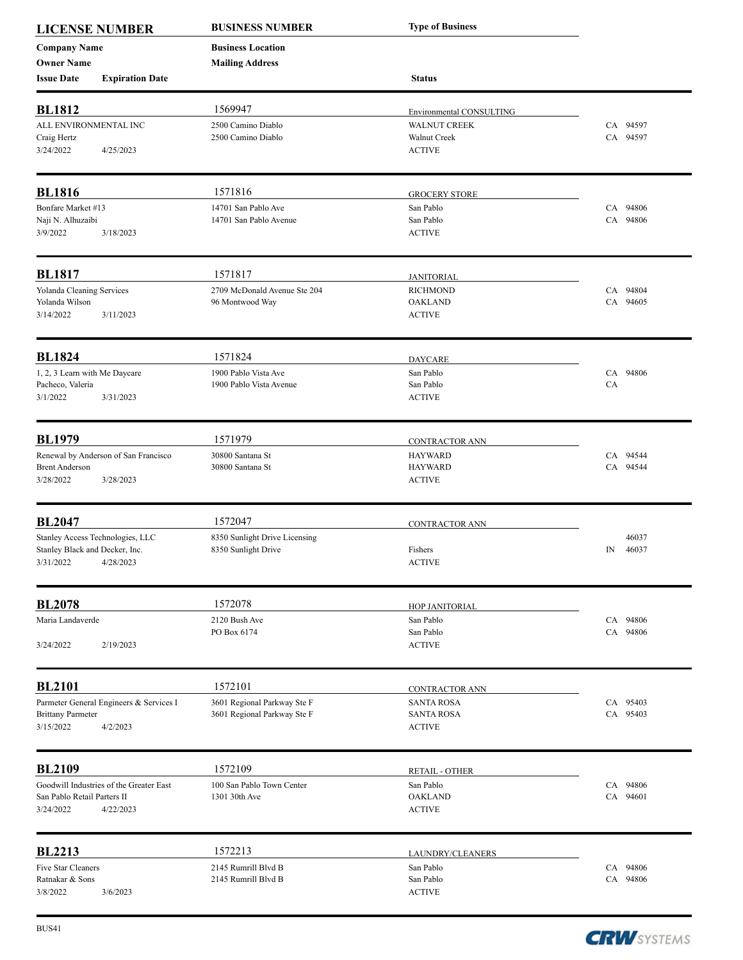| <b>LICENSE NUMBER</b>                             |                                         | <b>BUSINESS NUMBER</b>                          | <b>Type of Business</b>                         |                      |
|---------------------------------------------------|-----------------------------------------|-------------------------------------------------|-------------------------------------------------|----------------------|
| <b>Company Name</b>                               |                                         | <b>Business Location</b>                        |                                                 |                      |
| <b>Owner Name</b>                                 |                                         | <b>Mailing Address</b>                          |                                                 |                      |
| <b>Issue Date</b>                                 | <b>Expiration Date</b>                  |                                                 | <b>Status</b>                                   |                      |
| <b>BL1812</b>                                     |                                         | 1569947                                         |                                                 |                      |
| ALL ENVIRONMENTAL INC                             |                                         | 2500 Camino Diablo                              | Environmental CONSULTING<br><b>WALNUT CREEK</b> | CA 94597             |
| Craig Hertz                                       |                                         | 2500 Camino Diablo                              | Walnut Creek                                    | CA 94597             |
| 3/24/2022                                         | 4/25/2023                               |                                                 | <b>ACTIVE</b>                                   |                      |
|                                                   |                                         |                                                 |                                                 |                      |
| <b>BL1816</b>                                     |                                         | 1571816                                         | <b>GROCERY STORE</b>                            |                      |
| Bonfare Market #13<br>Naji N. Alhuzaibi           |                                         | 14701 San Pablo Ave<br>14701 San Pablo Avenue   | San Pablo<br>San Pablo                          | CA 94806<br>CA 94806 |
| 3/9/2022                                          | 3/18/2023                               |                                                 | <b>ACTIVE</b>                                   |                      |
|                                                   |                                         |                                                 |                                                 |                      |
| <b>BL1817</b>                                     |                                         | 1571817                                         | <b>JANITORIAL</b>                               |                      |
| Yolanda Cleaning Services                         |                                         | 2709 McDonald Avenue Ste 204                    | <b>RICHMOND</b>                                 | CA 94804             |
| Yolanda Wilson                                    |                                         | 96 Montwood Way                                 | <b>OAKLAND</b>                                  | CA 94605             |
| 3/14/2022                                         | 3/11/2023                               |                                                 | <b>ACTIVE</b>                                   |                      |
|                                                   |                                         |                                                 |                                                 |                      |
| <b>BL1824</b>                                     |                                         | 1571824                                         | <b>DAYCARE</b>                                  |                      |
| 1, 2, 3 Learn with Me Daycare<br>Pacheco, Valeria |                                         | 1900 Pablo Vista Ave<br>1900 Pablo Vista Avenue | San Pablo<br>San Pablo                          | CA 94806<br>CA.      |
| 3/1/2022                                          | 3/31/2023                               |                                                 | <b>ACTIVE</b>                                   |                      |
|                                                   |                                         |                                                 |                                                 |                      |
| <b>BL1979</b>                                     |                                         | 1571979                                         | CONTRACTOR ANN                                  |                      |
|                                                   | Renewal by Anderson of San Francisco    | 30800 Santana St                                | <b>HAYWARD</b>                                  | CA 94544             |
| <b>Brent Anderson</b>                             |                                         | 30800 Santana St                                | <b>HAYWARD</b>                                  | CA 94544             |
| 3/28/2022                                         | 3/28/2023                               |                                                 | <b>ACTIVE</b>                                   |                      |
| <b>BL2047</b>                                     |                                         | 1572047                                         | <b>CONTRACTOR ANN</b>                           |                      |
| Stanley Access Technologies, LLC                  |                                         | 8350 Sunlight Drive Licensing                   |                                                 | 46037                |
| Stanley Black and Decker, Inc.                    |                                         | 8350 Sunlight Drive                             | Fishers                                         | 46037<br>IN          |
| 3/31/2022 4/28/2023                               |                                         |                                                 | <b>ACTIVE</b>                                   |                      |
| <b>BL2078</b>                                     |                                         | 1572078                                         |                                                 |                      |
|                                                   |                                         |                                                 | HOP JANITORIAL                                  |                      |
| Maria Landaverde                                  |                                         | 2120 Bush Ave<br>PO Box 6174                    | San Pablo<br>San Pablo                          | CA 94806<br>CA 94806 |
| 3/24/2022                                         | 2/19/2023                               |                                                 | <b>ACTIVE</b>                                   |                      |
|                                                   |                                         |                                                 |                                                 |                      |
| <b>BL2101</b>                                     |                                         | 1572101                                         | <b>CONTRACTOR ANN</b>                           |                      |
|                                                   | Parmeter General Engineers & Services I | 3601 Regional Parkway Ste F                     | <b>SANTA ROSA</b>                               | CA 95403             |
| <b>Brittany Parmeter</b><br>3/15/2022             | 4/2/2023                                | 3601 Regional Parkway Ste F                     | <b>SANTA ROSA</b><br><b>ACTIVE</b>              | CA 95403             |
|                                                   |                                         |                                                 |                                                 |                      |
| <b>BL2109</b>                                     |                                         | 1572109                                         | RETAIL - OTHER                                  |                      |
|                                                   | Goodwill Industries of the Greater East | 100 San Pablo Town Center                       | San Pablo                                       | CA 94806             |
| San Pablo Retail Parters II                       |                                         | 1301 30th Ave                                   | <b>OAKLAND</b>                                  | CA 94601             |
| 3/24/2022                                         | 4/22/2023                               |                                                 | <b>ACTIVE</b>                                   |                      |
| <b>BL2213</b>                                     |                                         | 1572213                                         |                                                 |                      |
| Five Star Cleaners                                |                                         | 2145 Rumrill Blvd B                             | LAUNDRY/CLEANERS<br>San Pablo                   | CA 94806             |
| Ratnakar & Sons                                   |                                         | 2145 Rumrill Blvd B                             | San Pablo                                       | CA 94806             |
| 3/8/2022                                          | 3/6/2023                                |                                                 | <b>ACTIVE</b>                                   |                      |

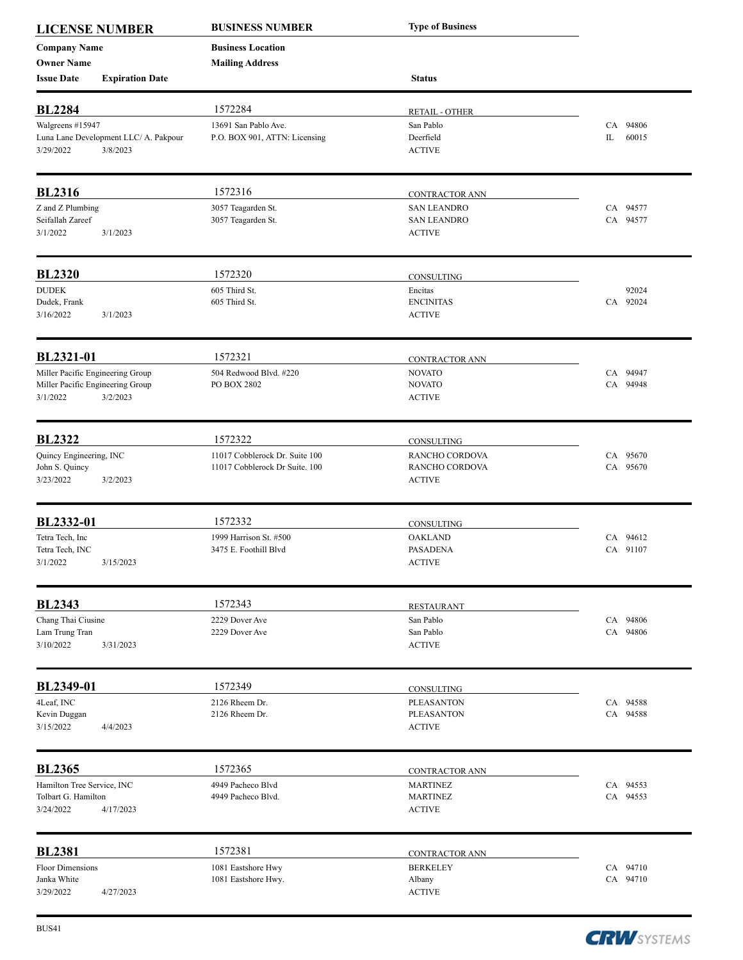| <b>LICENSE NUMBER</b>                                                            |                                                   | <b>BUSINESS NUMBER</b>                                           | <b>Type of Business</b>                                      |                         |
|----------------------------------------------------------------------------------|---------------------------------------------------|------------------------------------------------------------------|--------------------------------------------------------------|-------------------------|
| <b>Company Name</b><br><b>Owner Name</b>                                         |                                                   | <b>Business Location</b><br><b>Mailing Address</b>               |                                                              |                         |
| <b>Issue Date</b>                                                                | <b>Expiration Date</b>                            |                                                                  | <b>Status</b>                                                |                         |
| <b>BL2284</b>                                                                    |                                                   | 1572284                                                          | <b>RETAIL - OTHER</b>                                        |                         |
| Walgreens #15947<br>3/29/2022                                                    | Luna Lane Development LLC/ A. Pakpour<br>3/8/2023 | 13691 San Pablo Ave.<br>P.O. BOX 901, ATTN: Licensing            | San Pablo<br>Deerfield<br><b>ACTIVE</b>                      | CA 94806<br>IL<br>60015 |
| <b>BL2316</b>                                                                    |                                                   | 1572316                                                          | CONTRACTOR ANN                                               |                         |
| Z and Z Plumbing<br>Seifallah Zareef<br>3/1/2022                                 | 3/1/2023                                          | 3057 Teagarden St.<br>3057 Teagarden St.                         | <b>SAN LEANDRO</b><br><b>SAN LEANDRO</b><br><b>ACTIVE</b>    | CA 94577<br>CA 94577    |
| <b>BL2320</b>                                                                    |                                                   | 1572320                                                          | CONSULTING                                                   |                         |
| <b>DUDEK</b><br>Dudek, Frank<br>3/16/2022                                        | 3/1/2023                                          | 605 Third St.<br>605 Third St.                                   | Encitas<br><b>ENCINITAS</b><br><b>ACTIVE</b>                 | 92024<br>CA 92024       |
| BL2321-01                                                                        |                                                   | 1572321                                                          | <b>CONTRACTOR ANN</b>                                        |                         |
| Miller Pacific Engineering Group<br>Miller Pacific Engineering Group<br>3/1/2022 | 3/2/2023                                          | 504 Redwood Blvd. #220<br>PO BOX 2802                            | <b>NOVATO</b><br><b>NOVATO</b><br><b>ACTIVE</b>              | CA 94947<br>CA 94948    |
| <b>BL2322</b>                                                                    |                                                   | 1572322                                                          | CONSULTING                                                   |                         |
| Quincy Engineering, INC<br>John S. Quincy<br>3/23/2022                           | 3/2/2023                                          | 11017 Cobblerock Dr. Suite 100<br>11017 Cobblerock Dr Suite. 100 | RANCHO CORDOVA<br>RANCHO CORDOVA<br><b>ACTIVE</b>            | CA 95670<br>CA 95670    |
| BL2332-01                                                                        |                                                   | 1572332                                                          | CONSULTING                                                   |                         |
| Tetra Tech, Inc<br>Tetra Tech, INC<br>3/1/2022                                   | 3/15/2023                                         | 1999 Harrison St. #500<br>3475 E. Foothill Blvd                  | <b>OAKLAND</b><br><b>PASADENA</b><br>$\operatorname{ACTIVE}$ | CA 94612<br>CA 91107    |
| <b>BL2343</b>                                                                    |                                                   | 1572343                                                          | <b>RESTAURANT</b>                                            |                         |
| Chang Thai Ciusine<br>Lam Trung Tran<br>3/10/2022                                | 3/31/2023                                         | 2229 Dover Ave<br>2229 Dover Ave                                 | San Pablo<br>San Pablo<br><b>ACTIVE</b>                      | CA 94806<br>CA 94806    |
| BL2349-01                                                                        |                                                   | 1572349                                                          | CONSULTING                                                   |                         |
| 4Leaf, INC<br>Kevin Duggan<br>3/15/2022                                          | 4/4/2023                                          | 2126 Rheem Dr.<br>2126 Rheem Dr.                                 | <b>PLEASANTON</b><br><b>PLEASANTON</b><br><b>ACTIVE</b>      | CA 94588<br>CA 94588    |
| <b>BL2365</b>                                                                    |                                                   | 1572365                                                          | <b>CONTRACTOR ANN</b>                                        |                         |
| Hamilton Tree Service, INC<br>Tolbart G. Hamilton<br>3/24/2022                   | 4/17/2023                                         | 4949 Pacheco Blvd<br>4949 Pacheco Blvd.                          | <b>MARTINEZ</b><br><b>MARTINEZ</b><br><b>ACTIVE</b>          | CA 94553<br>CA 94553    |
| <b>BL2381</b>                                                                    |                                                   | 1572381                                                          | <b>CONTRACTOR ANN</b>                                        |                         |
| <b>Floor Dimensions</b><br>Janka White<br>3/29/2022                              | 4/27/2023                                         | 1081 Eastshore Hwy<br>1081 Eastshore Hwy.                        | <b>BERKELEY</b><br>Albany<br><b>ACTIVE</b>                   | CA 94710<br>CA 94710    |

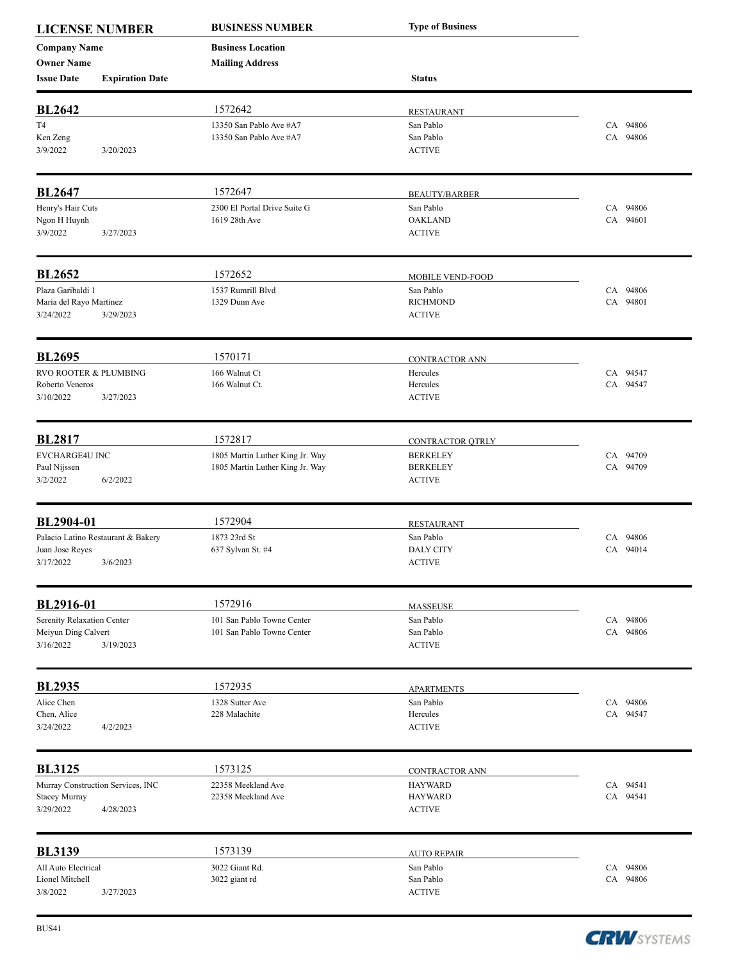| <b>LICENSE NUMBER</b>                    |                                    | <b>BUSINESS NUMBER</b>          | <b>Type of Business</b> |          |
|------------------------------------------|------------------------------------|---------------------------------|-------------------------|----------|
| <b>Company Name</b><br><b>Owner Name</b> |                                    | <b>Business Location</b>        |                         |          |
| <b>Issue Date</b>                        | <b>Expiration Date</b>             | <b>Mailing Address</b>          | <b>Status</b>           |          |
| <b>BL2642</b>                            |                                    | 1572642                         | <b>RESTAURANT</b>       |          |
| T <sub>4</sub>                           |                                    | 13350 San Pablo Ave #A7         | San Pablo               | CA 94806 |
| Ken Zeng                                 |                                    | 13350 San Pablo Ave #A7         | San Pablo               | CA 94806 |
| 3/9/2022                                 | 3/20/2023                          |                                 | <b>ACTIVE</b>           |          |
| <b>BL2647</b>                            |                                    | 1572647                         | <b>BEAUTY/BARBER</b>    |          |
| Henry's Hair Cuts                        |                                    | 2300 El Portal Drive Suite G    | San Pablo               | CA 94806 |
| Ngon H Huynh                             |                                    | 1619 28th Ave                   | <b>OAKLAND</b>          | CA 94601 |
| 3/9/2022                                 | 3/27/2023                          |                                 | <b>ACTIVE</b>           |          |
| <b>BL2652</b>                            |                                    | 1572652                         | MOBILE VEND-FOOD        |          |
| Plaza Garibaldi 1                        |                                    | 1537 Rumrill Blvd               | San Pablo               | CA 94806 |
| Maria del Rayo Martinez                  |                                    | 1329 Dunn Ave                   | <b>RICHMOND</b>         | CA 94801 |
| 3/24/2022                                | 3/29/2023                          |                                 | <b>ACTIVE</b>           |          |
| <b>BL2695</b>                            |                                    | 1570171                         | <b>CONTRACTOR ANN</b>   |          |
| RVO ROOTER & PLUMBING                    |                                    | 166 Walnut Ct                   | Hercules                | CA 94547 |
| Roberto Veneros                          |                                    | 166 Walnut Ct.                  | Hercules                | CA 94547 |
| 3/10/2022                                | 3/27/2023                          |                                 | <b>ACTIVE</b>           |          |
| <b>BL2817</b>                            |                                    | 1572817                         | CONTRACTOR QTRLY        |          |
| <b>EVCHARGE4U INC</b>                    |                                    | 1805 Martin Luther King Jr. Way | <b>BERKELEY</b>         | CA 94709 |
| Paul Nijssen                             |                                    | 1805 Martin Luther King Jr. Way | <b>BERKELEY</b>         | CA 94709 |
| 3/2/2022                                 | 6/2/2022                           |                                 | <b>ACTIVE</b>           |          |
| BL2904-01                                |                                    | 1572904                         | <b>RESTAURANT</b>       |          |
|                                          | Palacio Latino Restaurant & Bakery | 1873 23rd St                    | San Pablo               | CA 94806 |
| Juan Jose Reyes                          |                                    | 637 Sylvan St. #4               | <b>DALY CITY</b>        | CA 94014 |
| 3/17/2022                                | 3/6/2023                           |                                 | $\operatorname{ACTIVE}$ |          |
| BL2916-01                                |                                    | 1572916                         | <b>MASSEUSE</b>         |          |
| Serenity Relaxation Center               |                                    | 101 San Pablo Towne Center      | San Pablo               | CA 94806 |
| Meiyun Ding Calvert                      |                                    | 101 San Pablo Towne Center      | San Pablo               | CA 94806 |
| 3/16/2022                                | 3/19/2023                          |                                 | <b>ACTIVE</b>           |          |
| <b>BL2935</b>                            |                                    | 1572935                         | <b>APARTMENTS</b>       |          |
| Alice Chen                               |                                    | 1328 Sutter Ave                 | San Pablo               | CA 94806 |
| Chen, Alice                              |                                    | 228 Malachite                   | Hercules                | CA 94547 |
| 3/24/2022                                | 4/2/2023                           |                                 | <b>ACTIVE</b>           |          |
| <b>BL3125</b>                            |                                    | 1573125                         | <b>CONTRACTOR ANN</b>   |          |
|                                          | Murray Construction Services, INC  | 22358 Meekland Ave              | <b>HAYWARD</b>          | CA 94541 |
| Stacey Murray                            |                                    | 22358 Meekland Ave              | <b>HAYWARD</b>          | CA 94541 |
| 3/29/2022                                | 4/28/2023                          |                                 | <b>ACTIVE</b>           |          |
| <b>BL3139</b>                            |                                    | 1573139                         | <b>AUTO REPAIR</b>      |          |
| All Auto Electrical                      |                                    | 3022 Giant Rd.                  | San Pablo               | CA 94806 |
| Lionel Mitchell                          |                                    | 3022 giant rd                   | San Pablo               | CA 94806 |
| 3/8/2022                                 | 3/27/2023                          |                                 | <b>ACTIVE</b>           |          |

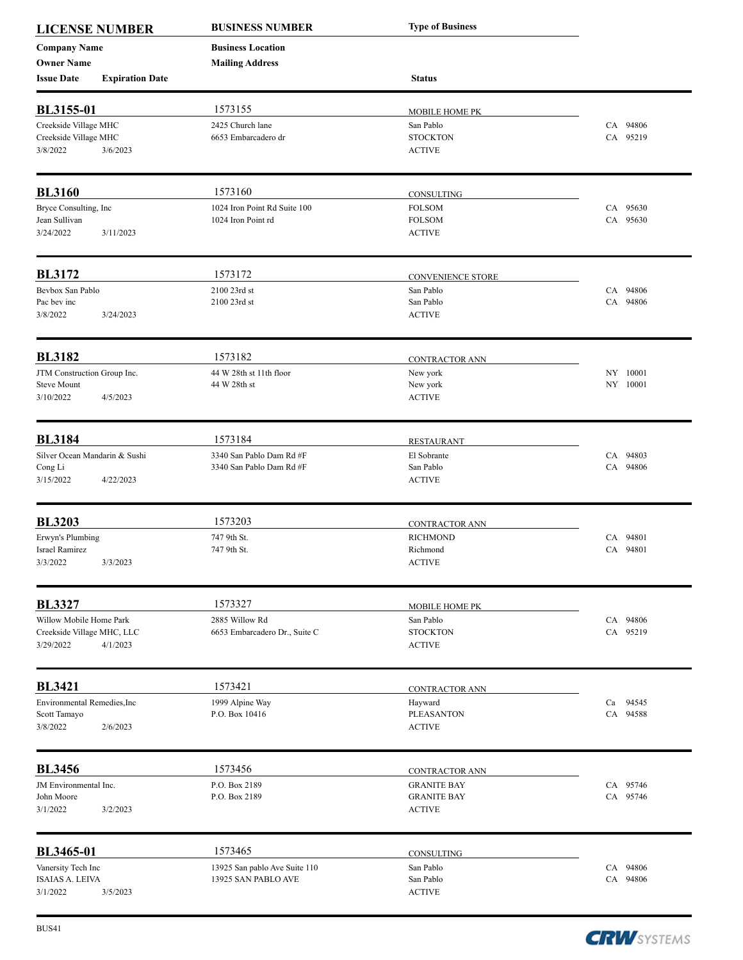| <b>LICENSE NUMBER</b>                                              |                        | <b>BUSINESS NUMBER</b>                               | <b>Type of Business</b>                                   |                         |
|--------------------------------------------------------------------|------------------------|------------------------------------------------------|-----------------------------------------------------------|-------------------------|
| <b>Company Name</b><br><b>Owner Name</b>                           |                        | <b>Business Location</b><br><b>Mailing Address</b>   |                                                           |                         |
| <b>Issue Date</b>                                                  | <b>Expiration Date</b> |                                                      | <b>Status</b>                                             |                         |
| <b>BL3155-01</b>                                                   |                        | 1573155                                              | MOBILE HOME PK                                            |                         |
| Creekside Village MHC<br>Creekside Village MHC<br>3/8/2022         | 3/6/2023               | 2425 Church lane<br>6653 Embarcadero dr              | San Pablo<br><b>STOCKTON</b><br><b>ACTIVE</b>             | CA 94806<br>CA 95219    |
| <b>BL3160</b>                                                      |                        | 1573160                                              | CONSULTING                                                |                         |
| Bryce Consulting, Inc<br>Jean Sullivan<br>3/24/2022                | 3/11/2023              | 1024 Iron Point Rd Suite 100<br>1024 Iron Point rd   | <b>FOLSOM</b><br><b>FOLSOM</b><br><b>ACTIVE</b>           | CA 95630<br>CA 95630    |
| <b>BL3172</b>                                                      |                        | 1573172                                              | <b>CONVENIENCE STORE</b>                                  |                         |
| Bevbox San Pablo<br>Pac bev inc<br>3/8/2022                        | 3/24/2023              | 2100 23rd st<br>2100 23rd st                         | San Pablo<br>San Pablo<br><b>ACTIVE</b>                   | CA 94806<br>CA 94806    |
| <b>BL3182</b>                                                      |                        | 1573182                                              | CONTRACTOR ANN                                            |                         |
| JTM Construction Group Inc.<br><b>Steve Mount</b><br>3/10/2022     | 4/5/2023               | 44 W 28th st 11th floor<br>44 W 28th st              | New york<br>New york<br><b>ACTIVE</b>                     | NY 10001<br>NY 10001    |
| <b>BL3184</b>                                                      |                        | 1573184                                              | <b>RESTAURANT</b>                                         |                         |
| Silver Ocean Mandarin & Sushi<br>Cong Li<br>3/15/2022              | 4/22/2023              | 3340 San Pablo Dam Rd #F<br>3340 San Pablo Dam Rd #F | El Sobrante<br>San Pablo<br><b>ACTIVE</b>                 | CA 94803<br>CA 94806    |
| <b>BL3203</b>                                                      |                        | 1573203                                              | <b>CONTRACTOR ANN</b>                                     |                         |
| Erwyn's Plumbing<br>Israel Ramirez<br>3/3/2022                     | 3/3/2023               | 747 9th St.<br>747 9th St.                           | <b>RICHMOND</b><br>Richmond<br><b>ACTIVE</b>              | CA 94801<br>CA 94801    |
| <b>BL3327</b>                                                      |                        | 1573327                                              | <b>MOBILE HOME PK</b>                                     |                         |
| Willow Mobile Home Park<br>Creekside Village MHC, LLC<br>3/29/2022 | 4/1/2023               | 2885 Willow Rd<br>6653 Embarcadero Dr., Suite C      | San Pablo<br><b>STOCKTON</b><br><b>ACTIVE</b>             | CA 94806<br>CA 95219    |
| <b>BL3421</b>                                                      |                        | 1573421                                              | CONTRACTOR ANN                                            |                         |
| Environmental Remedies, Inc<br>Scott Tamayo<br>3/8/2022            | 2/6/2023               | 1999 Alpine Way<br>P.O. Box 10416                    | Hayward<br><b>PLEASANTON</b><br><b>ACTIVE</b>             | Ca<br>94545<br>CA 94588 |
| <b>BL3456</b>                                                      |                        | 1573456                                              | <b>CONTRACTOR ANN</b>                                     |                         |
| JM Environmental Inc.<br>John Moore<br>3/1/2022                    | 3/2/2023               | P.O. Box 2189<br>P.O. Box 2189                       | <b>GRANITE BAY</b><br><b>GRANITE BAY</b><br><b>ACTIVE</b> | CA 95746<br>CA 95746    |
| BL3465-01                                                          |                        | 1573465                                              | CONSULTING                                                |                         |
| Vanersity Tech Inc<br><b>ISAIAS A. LEIVA</b><br>3/1/2022           | 3/5/2023               | 13925 San pablo Ave Suite 110<br>13925 SAN PABLO AVE | San Pablo<br>San Pablo<br><b>ACTIVE</b>                   | CA 94806<br>CA 94806    |

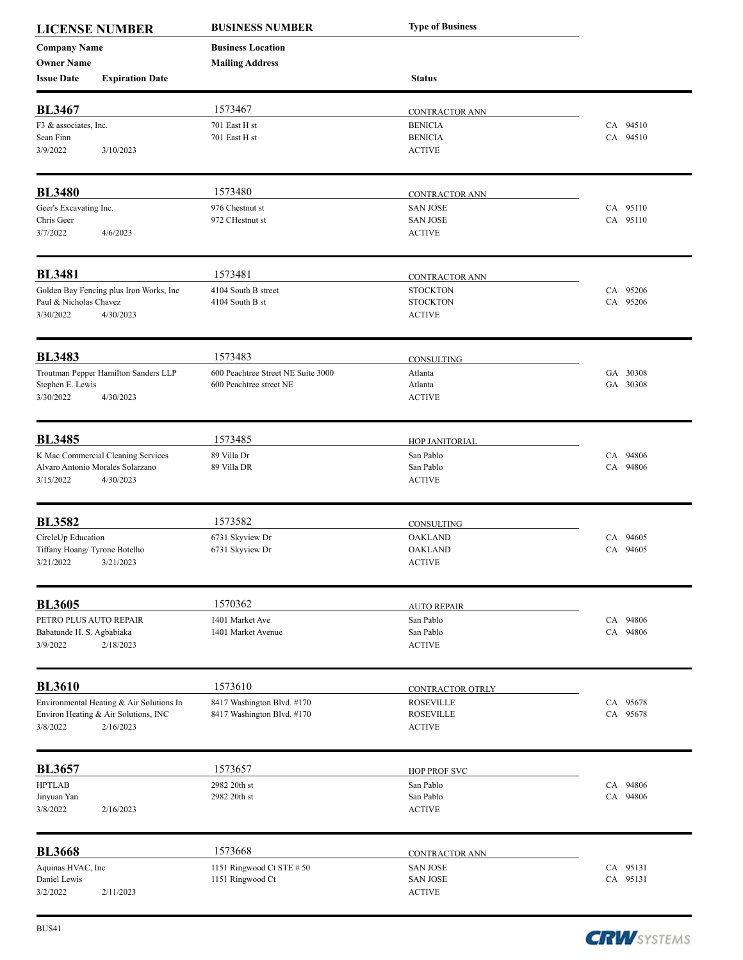| <b>LICENSE NUMBER</b>             |                                                   | <b>BUSINESS NUMBER</b>                        | <b>Type of Business</b>            |                      |
|-----------------------------------|---------------------------------------------------|-----------------------------------------------|------------------------------------|----------------------|
| <b>Company Name</b>               |                                                   | <b>Business Location</b>                      |                                    |                      |
| <b>Owner Name</b>                 |                                                   | <b>Mailing Address</b>                        |                                    |                      |
| <b>Issue Date</b>                 | <b>Expiration Date</b>                            |                                               | <b>Status</b>                      |                      |
| <b>BL3467</b>                     |                                                   | 1573467                                       | CONTRACTOR ANN                     |                      |
| F3 & associates, Inc.             |                                                   | 701 East H st                                 | <b>BENICIA</b>                     | CA 94510             |
| Sean Finn                         |                                                   | 701 East H st                                 | <b>BENICIA</b>                     | CA 94510             |
| 3/9/2022                          | 3/10/2023                                         |                                               | <b>ACTIVE</b>                      |                      |
| <b>BL3480</b>                     |                                                   | 1573480                                       |                                    |                      |
| Geer's Excavating Inc.            |                                                   | 976 Chestnut st                               | CONTRACTOR ANN<br><b>SAN JOSE</b>  | CA 95110             |
| Chris Geer                        |                                                   | 972 CHestnut st                               | <b>SAN JOSE</b>                    | CA 95110             |
| 3/7/2022                          | 4/6/2023                                          |                                               | <b>ACTIVE</b>                      |                      |
| <b>BL3481</b>                     |                                                   | 1573481                                       | <b>CONTRACTOR ANN</b>              |                      |
|                                   | Golden Bay Fencing plus Iron Works, Inc           | 4104 South B street                           | <b>STOCKTON</b>                    | CA 95206             |
| Paul & Nicholas Chavez            |                                                   | 4104 South B st                               | <b>STOCKTON</b>                    | CA 95206             |
| 3/30/2022                         | 4/30/2023                                         |                                               | <b>ACTIVE</b>                      |                      |
| <b>BL3483</b>                     |                                                   | 1573483                                       | CONSULTING                         |                      |
|                                   | Troutman Pepper Hamilton Sanders LLP              | 600 Peachtree Street NE Suite 3000            | Atlanta                            | GA 30308             |
| Stephen E. Lewis                  |                                                   | 600 Peachtree street NE                       | Atlanta                            | GA 30308             |
| 3/30/2022                         | 4/30/2023                                         |                                               | <b>ACTIVE</b>                      |                      |
| <b>BL3485</b>                     |                                                   | 1573485                                       | HOP JANITORIAL                     |                      |
|                                   | K Mac Commercial Cleaning Services                | 89 Villa Dr                                   | San Pablo                          | CA 94806             |
|                                   | Alvaro Antonio Morales Solarzano                  | 89 Villa DR                                   | San Pablo                          | CA 94806             |
| 3/15/2022                         | 4/30/2023                                         |                                               | <b>ACTIVE</b>                      |                      |
| <b>BL3582</b>                     |                                                   | 1573582                                       | CONSULTING                         |                      |
| CircleUp Education                |                                                   | 6731 Skyview Dr                               | <b>OAKLAND</b>                     | CA 94605             |
| Tiffany Hoang/ Tyrone Botelho     |                                                   | 6731 Skyview Dr                               | <b>OAKLAND</b>                     | CA 94605             |
| 3/21/2022 3/21/2023               |                                                   |                                               | <b>ACTIVE</b>                      |                      |
| <b>BL3605</b>                     |                                                   | 1570362                                       | <b>AUTO REPAIR</b>                 |                      |
| PETRO PLUS AUTO REPAIR            |                                                   | 1401 Market Ave                               | San Pablo                          | CA 94806             |
| Babatunde H. S. Agbabiaka         |                                                   | 1401 Market Avenue                            | San Pablo                          | CA 94806             |
| 3/9/2022                          | 2/18/2023                                         |                                               | <b>ACTIVE</b>                      |                      |
| <b>BL3610</b>                     |                                                   | 1573610                                       | CONTRACTOR QTRLY                   |                      |
|                                   | Environmental Heating & Air Solutions In          | 8417 Washington Blvd. #170                    | <b>ROSEVILLE</b>                   | CA 95678             |
| 3/8/2022                          | Environ Heating & Air Solutions, INC<br>2/16/2023 | 8417 Washington Blvd. #170                    | <b>ROSEVILLE</b><br><b>ACTIVE</b>  | CA 95678             |
|                                   |                                                   |                                               |                                    |                      |
| <b>BL3657</b>                     |                                                   | 1573657                                       | <b>HOP PROF SVC</b>                |                      |
| <b>HPTLAB</b><br>Jinyuan Yan      |                                                   | 2982 20th st<br>2982 20th st                  | San Pablo<br>San Pablo             | CA 94806<br>CA 94806 |
| 3/8/2022                          | 2/16/2023                                         |                                               | <b>ACTIVE</b>                      |                      |
| <b>BL3668</b>                     |                                                   | 1573668                                       |                                    |                      |
|                                   |                                                   |                                               | CONTRACTOR ANN                     |                      |
| Aquinas HVAC, Inc<br>Daniel Lewis |                                                   | 1151 Ringwood Ct STE # 50<br>1151 Ringwood Ct | <b>SAN JOSE</b><br><b>SAN JOSE</b> | CA 95131<br>CA 95131 |
| 3/2/2022                          | 2/11/2023                                         |                                               | <b>ACTIVE</b>                      |                      |

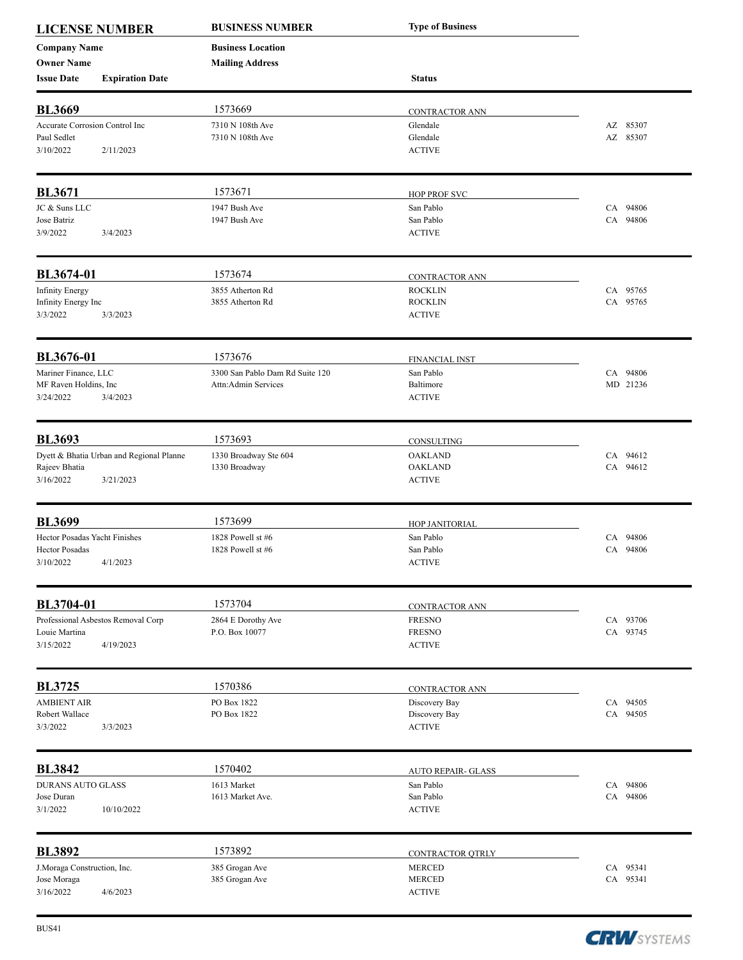| <b>LICENSE NUMBER</b>          |                                          | <b>BUSINESS NUMBER</b>          | <b>Type of Business</b>   |          |
|--------------------------------|------------------------------------------|---------------------------------|---------------------------|----------|
| <b>Company Name</b>            |                                          | <b>Business Location</b>        |                           |          |
| <b>Owner Name</b>              |                                          | <b>Mailing Address</b>          |                           |          |
| <b>Issue Date</b>              | <b>Expiration Date</b>                   |                                 | <b>Status</b>             |          |
| <b>BL3669</b>                  |                                          | 1573669                         | CONTRACTOR ANN            |          |
| Accurate Corrosion Control Inc |                                          | 7310 N 108th Ave                | Glendale                  | AZ 85307 |
| Paul Sedlet                    |                                          | 7310 N 108th Ave                | Glendale                  | AZ 85307 |
| 3/10/2022                      | 2/11/2023                                |                                 | <b>ACTIVE</b>             |          |
| <b>BL3671</b>                  |                                          | 1573671                         | <b>HOP PROF SVC</b>       |          |
| JC & Suns LLC                  |                                          | 1947 Bush Ave                   | San Pablo                 | CA 94806 |
| Jose Batriz                    |                                          | 1947 Bush Ave                   | San Pablo                 | CA 94806 |
| 3/9/2022                       | 3/4/2023                                 |                                 | <b>ACTIVE</b>             |          |
| BL3674-01                      |                                          | 1573674                         | <b>CONTRACTOR ANN</b>     |          |
| <b>Infinity Energy</b>         |                                          | 3855 Atherton Rd                | <b>ROCKLIN</b>            | CA 95765 |
| Infinity Energy Inc            |                                          | 3855 Atherton Rd                | <b>ROCKLIN</b>            | CA 95765 |
| 3/3/2022                       | 3/3/2023                                 |                                 | <b>ACTIVE</b>             |          |
| BL3676-01                      |                                          | 1573676                         | <b>FINANCIAL INST</b>     |          |
| Mariner Finance, LLC           |                                          | 3300 San Pablo Dam Rd Suite 120 | San Pablo                 | CA 94806 |
| MF Raven Holdins, Inc          |                                          | Attn:Admin Services             | Baltimore                 | MD 21236 |
| 3/24/2022                      | 3/4/2023                                 |                                 | <b>ACTIVE</b>             |          |
| <b>BL3693</b>                  |                                          | 1573693                         | CONSULTING                |          |
|                                | Dyett & Bhatia Urban and Regional Planne | 1330 Broadway Ste 604           | <b>OAKLAND</b>            | CA 94612 |
| Rajeev Bhatia                  |                                          | 1330 Broadway                   | <b>OAKLAND</b>            | CA 94612 |
| 3/16/2022                      | 3/21/2023                                |                                 | <b>ACTIVE</b>             |          |
| <b>BL3699</b>                  |                                          | 1573699                         | HOP JANITORIAL            |          |
| Hector Posadas Yacht Finishes  |                                          | 1828 Powell st #6               | San Pablo                 | CA 94806 |
| <b>Hector Posadas</b>          |                                          | 1828 Powell st #6               | San Pablo                 | CA 94806 |
| 3/10/2022                      | 4/1/2023                                 |                                 | <b>ACTIVE</b>             |          |
| BL3704-01                      |                                          | 1573704                         | CONTRACTOR ANN            |          |
|                                | Professional Asbestos Removal Corp       | 2864 E Dorothy Ave              | <b>FRESNO</b>             | CA 93706 |
| Louie Martina                  |                                          | P.O. Box 10077                  | <b>FRESNO</b>             | CA 93745 |
| 3/15/2022                      | 4/19/2023                                |                                 | <b>ACTIVE</b>             |          |
| <b>BL3725</b>                  |                                          | 1570386                         | CONTRACTOR ANN            |          |
| <b>AMBIENT AIR</b>             |                                          | PO Box 1822                     | Discovery Bay             | CA 94505 |
| Robert Wallace                 |                                          | PO Box 1822                     | Discovery Bay             | CA 94505 |
| 3/3/2022                       | 3/3/2023                                 |                                 | <b>ACTIVE</b>             |          |
| <b>BL3842</b>                  |                                          | 1570402                         | <b>AUTO REPAIR- GLASS</b> |          |
| <b>DURANS AUTO GLASS</b>       |                                          | 1613 Market                     | San Pablo                 | CA 94806 |
| Jose Duran                     |                                          | 1613 Market Ave.                | San Pablo                 | CA 94806 |
| 3/1/2022                       | 10/10/2022                               |                                 | <b>ACTIVE</b>             |          |
| <b>BL3892</b>                  |                                          | 1573892                         | CONTRACTOR OTRLY          |          |
| J.Moraga Construction, Inc.    |                                          | 385 Grogan Ave                  | <b>MERCED</b>             | CA 95341 |
| Jose Moraga                    |                                          | 385 Grogan Ave                  | <b>MERCED</b>             | CA 95341 |
| 3/16/2022                      | 4/6/2023                                 |                                 | <b>ACTIVE</b>             |          |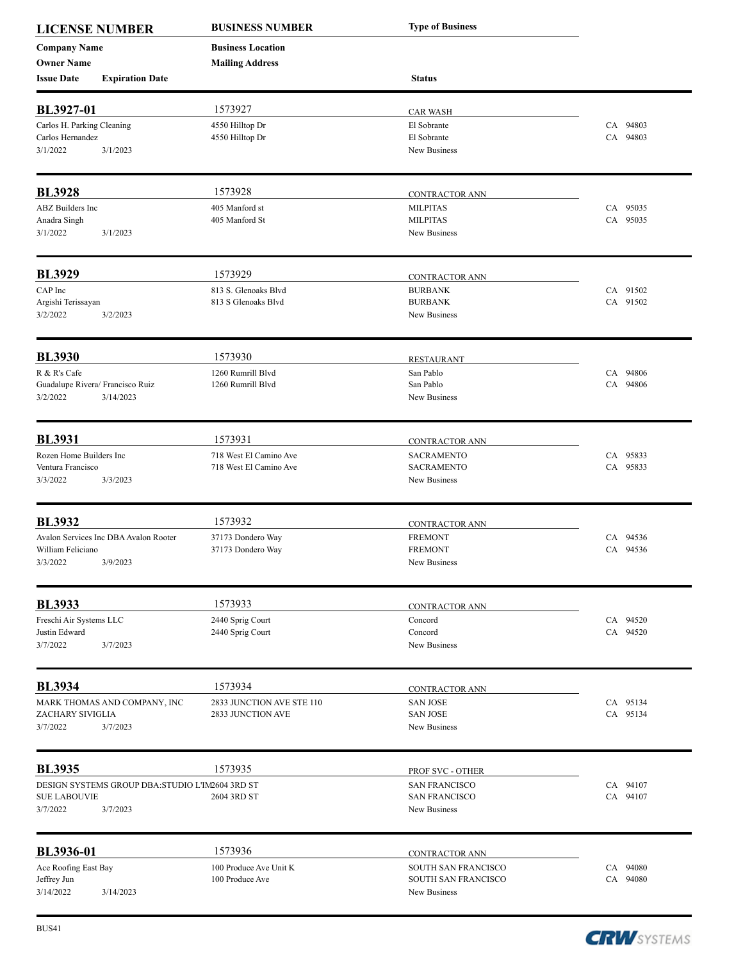| <b>LICENSE NUMBER</b>               |                                                 | <b>BUSINESS NUMBER</b>                    | <b>Type of Business</b>                    |                      |
|-------------------------------------|-------------------------------------------------|-------------------------------------------|--------------------------------------------|----------------------|
| <b>Company Name</b>                 |                                                 | <b>Business Location</b>                  |                                            |                      |
| <b>Owner Name</b>                   |                                                 | <b>Mailing Address</b>                    |                                            |                      |
| <b>Issue Date</b>                   | <b>Expiration Date</b>                          |                                           | <b>Status</b>                              |                      |
| BL3927-01                           |                                                 | 1573927                                   | <b>CAR WASH</b>                            |                      |
| Carlos H. Parking Cleaning          |                                                 | 4550 Hilltop Dr                           | El Sobrante                                | CA 94803             |
| Carlos Hernandez                    |                                                 | 4550 Hilltop Dr                           | El Sobrante                                | CA 94803             |
| 3/1/2022                            | 3/1/2023                                        |                                           | New Business                               |                      |
| <b>BL3928</b>                       |                                                 | 1573928                                   |                                            |                      |
| ABZ Builders Inc                    |                                                 | 405 Manford st                            | <b>CONTRACTOR ANN</b><br><b>MILPITAS</b>   | CA 95035             |
| Anadra Singh                        |                                                 | 405 Manford St                            | <b>MILPITAS</b>                            | CA 95035             |
| 3/1/2022                            | 3/1/2023                                        |                                           | New Business                               |                      |
| <b>BL3929</b>                       |                                                 | 1573929                                   |                                            |                      |
| CAP Inc                             |                                                 | 813 S. Glenoaks Blvd                      | CONTRACTOR ANN<br><b>BURBANK</b>           | CA 91502             |
| Argishi Terissayan                  |                                                 | 813 S Glenoaks Blvd                       | <b>BURBANK</b>                             | CA 91502             |
| 3/2/2022                            | 3/2/2023                                        |                                           | New Business                               |                      |
| <b>BL3930</b>                       |                                                 | 1573930                                   |                                            |                      |
| R & R's Cafe                        |                                                 |                                           | <b>RESTAURANT</b><br>San Pablo             |                      |
|                                     | Guadalupe Rivera/ Francisco Ruiz                | 1260 Rumrill Blvd<br>1260 Rumrill Blvd    | San Pablo                                  | CA 94806<br>CA 94806 |
| 3/2/2022                            | 3/14/2023                                       |                                           | New Business                               |                      |
| <b>BL3931</b>                       |                                                 | 1573931                                   | CONTRACTOR ANN                             |                      |
| Rozen Home Builders Inc             |                                                 | 718 West El Camino Ave                    | <b>SACRAMENTO</b>                          | CA 95833             |
| Ventura Francisco                   |                                                 | 718 West El Camino Ave                    | <b>SACRAMENTO</b>                          | CA 95833             |
| 3/3/2022                            | 3/3/2023                                        |                                           | New Business                               |                      |
| <b>BL3932</b>                       |                                                 | 1573932                                   | CONTRACTOR ANN                             |                      |
|                                     | Avalon Services Inc DBA Avalon Rooter           | 37173 Dondero Way                         | <b>FREMONT</b>                             | CA 94536             |
| William Feliciano                   |                                                 | 37173 Dondero Way                         | <b>FREMONT</b>                             | CA 94536             |
| 3/3/2022                            | 3/9/2023                                        |                                           | New Business                               |                      |
| <b>BL3933</b>                       |                                                 | 1573933                                   | CONTRACTOR ANN                             |                      |
| Freschi Air Systems LLC             |                                                 | 2440 Sprig Court                          | Concord                                    | CA 94520             |
| Justin Edward                       |                                                 | 2440 Sprig Court                          | Concord                                    | CA 94520             |
| 3/7/2022                            | 3/7/2023                                        |                                           | New Business                               |                      |
| <b>BL3934</b>                       |                                                 | 1573934                                   | CONTRACTOR ANN                             |                      |
|                                     | MARK THOMAS AND COMPANY, INC                    | 2833 JUNCTION AVE STE 110                 | <b>SAN JOSE</b>                            | CA 95134             |
| ZACHARY SIVIGLIA                    |                                                 | 2833 JUNCTION AVE                         | <b>SAN JOSE</b>                            | CA 95134             |
| 3/7/2022                            | 3/7/2023                                        |                                           | New Business                               |                      |
| <b>BL3935</b>                       |                                                 | 1573935                                   | PROF SVC - OTHER                           |                      |
|                                     | DESIGN SYSTEMS GROUP DBA:STUDIO L'IM2604 3RD ST |                                           | <b>SAN FRANCISCO</b>                       | CA 94107             |
| <b>SUE LABOUVIE</b><br>3/7/2022     | 3/7/2023                                        | 2604 3RD ST                               | <b>SAN FRANCISCO</b><br>New Business       | CA 94107             |
|                                     |                                                 |                                           |                                            |                      |
| BL3936-01                           |                                                 | 1573936                                   | CONTRACTOR ANN                             |                      |
| Ace Roofing East Bay<br>Jeffrey Jun |                                                 | 100 Produce Ave Unit K<br>100 Produce Ave | SOUTH SAN FRANCISCO<br>SOUTH SAN FRANCISCO | CA 94080<br>CA 94080 |
| 3/14/2022                           | 3/14/2023                                       |                                           | New Business                               |                      |
|                                     |                                                 |                                           |                                            |                      |

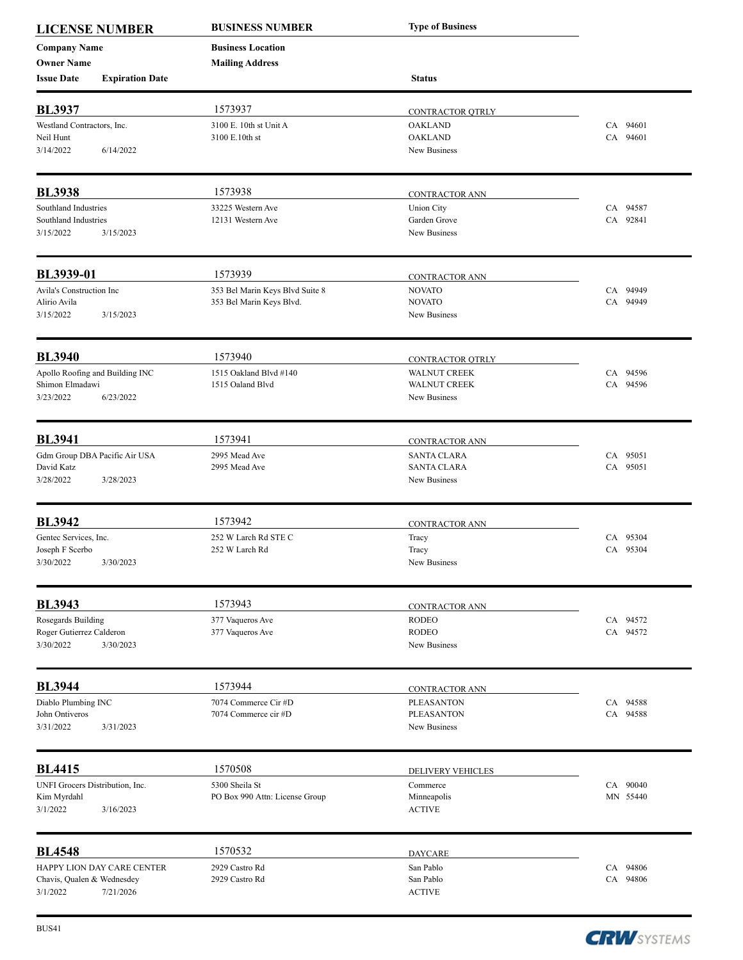| <b>LICENSE NUMBER</b><br><b>Company Name</b> |                            | <b>BUSINESS NUMBER</b>          | <b>Type of Business</b>                 |          |
|----------------------------------------------|----------------------------|---------------------------------|-----------------------------------------|----------|
|                                              |                            | <b>Business Location</b>        |                                         |          |
| <b>Owner Name</b>                            |                            | <b>Mailing Address</b>          |                                         |          |
| <b>Issue Date</b>                            | <b>Expiration Date</b>     |                                 | <b>Status</b>                           |          |
| <b>BL3937</b>                                |                            | 1573937                         | CONTRACTOR OTRLY                        |          |
| Westland Contractors, Inc.                   |                            | 3100 E. 10th st Unit A          | <b>OAKLAND</b>                          | CA 94601 |
| Neil Hunt                                    |                            | 3100 E.10th st                  | <b>OAKLAND</b>                          | CA 94601 |
| 3/14/2022                                    | 6/14/2022                  |                                 | New Business                            |          |
| <b>BL3938</b>                                |                            | 1573938                         |                                         |          |
| Southland Industries                         |                            | 33225 Western Ave               | CONTRACTOR ANN<br><b>Union City</b>     | CA 94587 |
| Southland Industries                         |                            | 12131 Western Ave               | Garden Grove                            | CA 92841 |
| 3/15/2022                                    | 3/15/2023                  |                                 | New Business                            |          |
| BL3939-01                                    |                            | 1573939                         | <b>CONTRACTOR ANN</b>                   |          |
| Avila's Construction Inc                     |                            | 353 Bel Marin Keys Blvd Suite 8 | <b>NOVATO</b>                           | CA 94949 |
| Alirio Avila                                 |                            | 353 Bel Marin Keys Blvd.        | <b>NOVATO</b>                           | CA 94949 |
| 3/15/2022                                    | 3/15/2023                  |                                 | New Business                            |          |
| <b>BL3940</b>                                |                            | 1573940                         |                                         |          |
| Apollo Roofing and Building INC              |                            | 1515 Oakland Blvd #140          | CONTRACTOR OTRLY<br><b>WALNUT CREEK</b> | CA 94596 |
| Shimon Elmadawi                              |                            | 1515 Oaland Blvd                | <b>WALNUT CREEK</b>                     | CA 94596 |
| 3/23/2022                                    | 6/23/2022                  |                                 | New Business                            |          |
| <b>BL3941</b>                                |                            | 1573941                         | CONTRACTOR ANN                          |          |
| Gdm Group DBA Pacific Air USA                |                            | 2995 Mead Ave                   | <b>SANTA CLARA</b>                      | CA 95051 |
| David Katz                                   |                            | 2995 Mead Ave                   | <b>SANTA CLARA</b>                      | CA 95051 |
| 3/28/2022                                    | 3/28/2023                  |                                 | New Business                            |          |
| <b>BL3942</b>                                |                            | 1573942                         | CONTRACTOR ANN                          |          |
| Gentec Services, Inc.                        |                            | 252 W Larch Rd STE C            | Tracy                                   | CA 95304 |
| Joseph F Scerbo                              |                            | 252 W Larch Rd                  | Tracy                                   | CA 95304 |
| 3/30/2022                                    | 3/30/2023                  |                                 | New Business                            |          |
| <b>BL3943</b>                                |                            | 1573943                         | <b>CONTRACTOR ANN</b>                   |          |
| Rosegards Building                           |                            | 377 Vaqueros Ave                | <b>RODEO</b>                            | CA 94572 |
| Roger Gutierrez Calderon                     |                            | 377 Vaqueros Ave                | <b>RODEO</b>                            | CA 94572 |
| 3/30/2022                                    | 3/30/2023                  |                                 | New Business                            |          |
| <b>BL3944</b>                                |                            | 1573944                         | <b>CONTRACTOR ANN</b>                   |          |
| Diablo Plumbing INC                          |                            | 7074 Commerce Cir #D            | <b>PLEASANTON</b>                       | CA 94588 |
| John Ontiveros                               |                            | 7074 Commerce cir #D            | <b>PLEASANTON</b>                       | CA 94588 |
| 3/31/2022                                    | 3/31/2023                  |                                 | New Business                            |          |
| <b>BL4415</b>                                |                            | 1570508                         | DELIVERY VEHICLES                       |          |
| UNFI Grocers Distribution, Inc.              |                            | 5300 Sheila St                  | Commerce                                | CA 90040 |
| Kim Myrdahl                                  |                            | PO Box 990 Attn: License Group  | Minneapolis                             | MN 55440 |
| 3/1/2022                                     | 3/16/2023                  |                                 | <b>ACTIVE</b>                           |          |
| <b>BL4548</b>                                |                            | 1570532                         | <b>DAYCARE</b>                          |          |
|                                              | HAPPY LION DAY CARE CENTER | 2929 Castro Rd                  | San Pablo                               | CA 94806 |
| Chavis, Qualen & Wednesdey                   |                            | 2929 Castro Rd                  | San Pablo                               | CA 94806 |
| 3/1/2022                                     | 7/21/2026                  |                                 | <b>ACTIVE</b>                           |          |

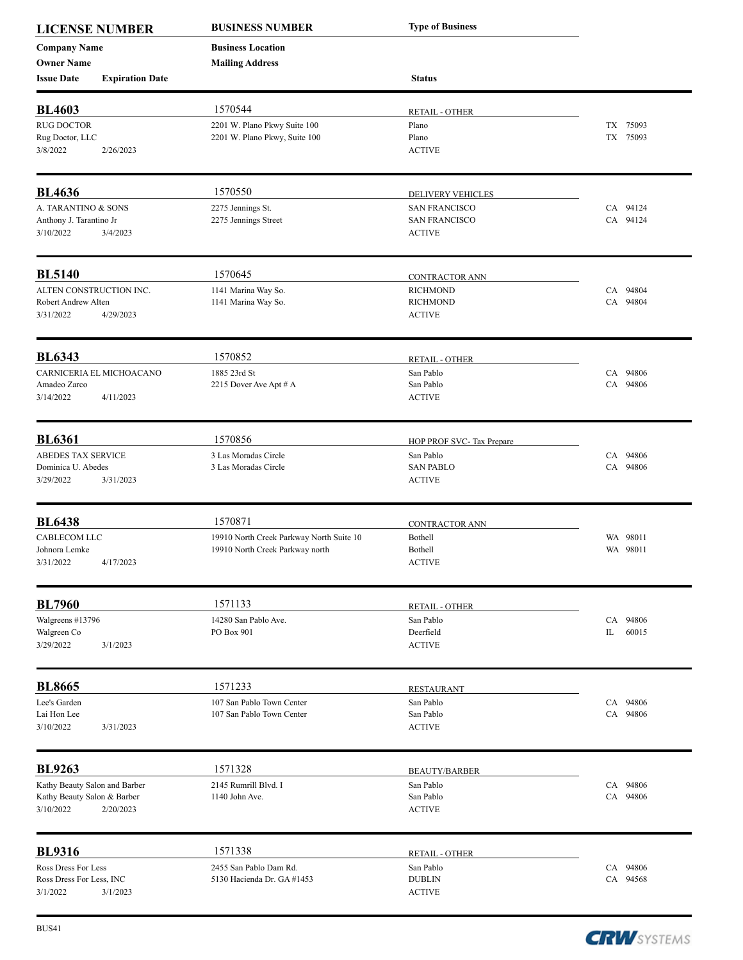| <b>LICENSE NUMBER</b><br><b>Company Name</b> |                        | <b>BUSINESS NUMBER</b><br><b>Business Location</b> | <b>Type of Business</b>   |             |
|----------------------------------------------|------------------------|----------------------------------------------------|---------------------------|-------------|
|                                              |                        |                                                    |                           |             |
| <b>Owner Name</b>                            |                        | <b>Mailing Address</b>                             |                           |             |
| <b>Issue Date</b>                            | <b>Expiration Date</b> |                                                    | <b>Status</b>             |             |
| <b>BL4603</b>                                |                        | 1570544                                            | <b>RETAIL - OTHER</b>     |             |
| <b>RUG DOCTOR</b>                            |                        | 2201 W. Plano Pkwy Suite 100                       | Plano                     | TX 75093    |
| Rug Doctor, LLC                              |                        | 2201 W. Plano Pkwy, Suite 100                      | Plano                     | TX 75093    |
| 3/8/2022                                     | 2/26/2023              |                                                    | <b>ACTIVE</b>             |             |
| <b>BL4636</b>                                |                        | 1570550                                            | DELIVERY VEHICLES         |             |
| A. TARANTINO & SONS                          |                        | 2275 Jennings St.                                  | <b>SAN FRANCISCO</b>      | CA 94124    |
| Anthony J. Tarantino Jr                      |                        | 2275 Jennings Street                               | <b>SAN FRANCISCO</b>      | CA 94124    |
| 3/10/2022                                    | 3/4/2023               |                                                    | <b>ACTIVE</b>             |             |
| <b>BL5140</b>                                |                        | 1570645                                            | <b>CONTRACTOR ANN</b>     |             |
| ALTEN CONSTRUCTION INC.                      |                        | 1141 Marina Way So.                                | <b>RICHMOND</b>           | CA 94804    |
| Robert Andrew Alten                          |                        | 1141 Marina Way So.                                | <b>RICHMOND</b>           | CA 94804    |
| 3/31/2022                                    | 4/29/2023              |                                                    | <b>ACTIVE</b>             |             |
| <b>BL6343</b>                                |                        | 1570852                                            | <b>RETAIL - OTHER</b>     |             |
| CARNICERIA EL MICHOACANO                     |                        | 1885 23rd St                                       | San Pablo                 | CA 94806    |
| Amadeo Zarco                                 |                        | 2215 Dover Ave Apt # A                             | San Pablo                 | CA 94806    |
| 3/14/2022                                    | 4/11/2023              |                                                    | <b>ACTIVE</b>             |             |
| <b>BL6361</b>                                |                        | 1570856                                            | HOP PROF SVC- Tax Prepare |             |
| ABEDES TAX SERVICE                           |                        | 3 Las Moradas Circle                               | San Pablo                 | CA 94806    |
| Dominica U. Abedes                           |                        | 3 Las Moradas Circle                               | <b>SAN PABLO</b>          | CA 94806    |
| 3/29/2022                                    | 3/31/2023              |                                                    | <b>ACTIVE</b>             |             |
| <b>BL6438</b>                                |                        | 1570871                                            | <b>CONTRACTOR ANN</b>     |             |
| CABLECOM LLC                                 |                        | 19910 North Creek Parkway North Suite 10           | Bothell                   | WA 98011    |
| Johnora Lemke                                |                        | 19910 North Creek Parkway north                    | Bothell                   | WA 98011    |
| 3/31/2022                                    | 4/17/2023              |                                                    | <b>ACTIVE</b>             |             |
| <b>BL7960</b>                                |                        | 1571133                                            | <b>RETAIL - OTHER</b>     |             |
| Walgreens #13796                             |                        | 14280 San Pablo Ave.                               | San Pablo                 | CA 94806    |
| Walgreen Co                                  |                        | PO Box 901                                         | Deerfield                 | IL<br>60015 |
| 3/29/2022                                    | 3/1/2023               |                                                    | <b>ACTIVE</b>             |             |
| <b>BL8665</b>                                |                        | 1571233                                            | <b>RESTAURANT</b>         |             |
| Lee's Garden                                 |                        | 107 San Pablo Town Center                          | San Pablo                 | CA 94806    |
| Lai Hon Lee                                  |                        | 107 San Pablo Town Center                          | San Pablo                 | CA 94806    |
| 3/10/2022                                    | 3/31/2023              |                                                    | <b>ACTIVE</b>             |             |
| <b>BL9263</b>                                |                        | 1571328                                            | <b>BEAUTY/BARBER</b>      |             |
| Kathy Beauty Salon and Barber                |                        | 2145 Rumrill Blvd. I                               | San Pablo                 | CA 94806    |
| Kathy Beauty Salon & Barber                  |                        | 1140 John Ave.                                     | San Pablo                 | CA 94806    |
| 3/10/2022                                    | 2/20/2023              |                                                    | <b>ACTIVE</b>             |             |
| <b>BL9316</b>                                |                        | 1571338                                            | <b>RETAIL - OTHER</b>     |             |
| Ross Dress For Less                          |                        | 2455 San Pablo Dam Rd.                             | San Pablo                 | CA 94806    |
| Ross Dress For Less, INC                     |                        | 5130 Hacienda Dr. GA #1453                         | <b>DUBLIN</b>             | CA 94568    |
| 3/1/2022                                     | 3/1/2023               |                                                    | <b>ACTIVE</b>             |             |